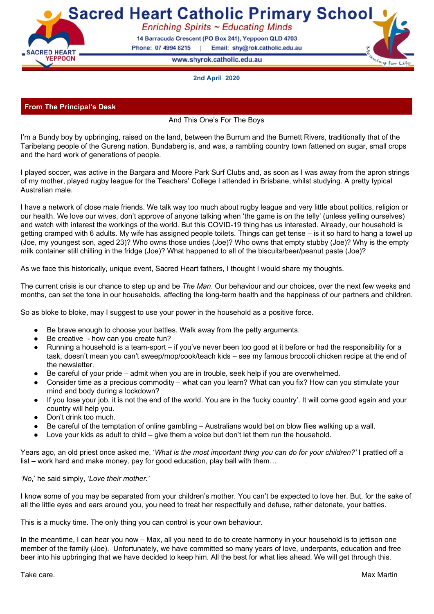**Sacred Heart Catholic Primary School** Enriching Spirits ~ Educating Minds

> 14 Barracuda Crescent (PO Box 241), Yeppoon QLD 4703 Phone: 07 4994 8215 Email: shy@rok.catholic.edu.au  $\mathbf{I}$

> > www.shyrok.catholic.edu.au



### **2nd April 2020**

# **From The Principal's Desk**

**CRED HEART** 

**YEPPOON** 

And This One's For The Boys

I'm a Bundy boy by upbringing, raised on the land, between the Burrum and the Burnett Rivers, traditionally that of the Taribelang people of the Gureng nation. Bundaberg is, and was, a rambling country town fattened on sugar, small crops and the hard work of generations of people.

I played soccer, was active in the Bargara and Moore Park Surf Clubs and, as soon as I was away from the apron strings of my mother, played rugby league for the Teachers' College I attended in Brisbane, whilst studying. A pretty typical Australian male.

I have a network of close male friends. We talk way too much about rugby league and very little about politics, religion or our health. We love our wives, don't approve of anyone talking when 'the game is on the telly' (unless yelling ourselves) and watch with interest the workings of the world. But this COVID-19 thing has us interested. Already, our household is getting cramped with 6 adults. My wife has assigned people toilets. Things can get tense – is it so hard to hang a towel up (Joe, my youngest son, aged 23)? Who owns those undies (Joe)? Who owns that empty stubby (Joe)? Why is the empty milk container still chilling in the fridge (Joe)? What happened to all of the biscuits/beer/peanut paste (Joe)?

As we face this historically, unique event, Sacred Heart fathers, I thought I would share my thoughts.

The current crisis is our chance to step up and be *The Man*. Our behaviour and our choices, over the next few weeks and months, can set the tone in our households, affecting the long-term health and the happiness of our partners and children.

So as bloke to bloke, may I suggest to use your power in the household as a positive force.

- Be brave enough to choose your battles. Walk away from the petty arguments.
- Be creative how can you create fun?
- Running a household is a team-sport if you've never been too good at it before or had the responsibility for a task, doesn't mean you can't sweep/mop/cook/teach kids – see my famous broccoli chicken recipe at the end of the newsletter.
- Be careful of your pride admit when you are in trouble, seek help if you are overwhelmed.
- Consider time as a precious commodity what can you learn? What can you fix? How can you stimulate your mind and body during a lockdown?
- If you lose your job, it is not the end of the world. You are in the 'lucky country'. It will come good again and your country will help you.
- Don't drink too much.
- Be careful of the temptation of online gambling Australians would bet on blow flies walking up a wall.
- Love your kids as adult to child give them a voice but don't let them run the household.

Years ago, an old priest once asked me, '*What is the most important thing you can do for your children?'* I prattled off a list – work hard and make money*,* pay for good education, play ball with them…

### *'No*,' he said simply, *'Love their mother.'*

I know some of you may be separated from your children's mother. You can't be expected to love her. But, for the sake of all the little eyes and ears around you, you need to treat her respectfully and defuse, rather detonate, your battles.

This is a mucky time. The only thing you can control is your own behaviour.

In the meantime, I can hear you now – Max, all you need to do to create harmony in your household is to jettison one member of the family (Joe). Unfortunately, we have committed so many years of love, underpants, education and free beer into his upbringing that we have decided to keep him. All the best for what lies ahead. We will get through this.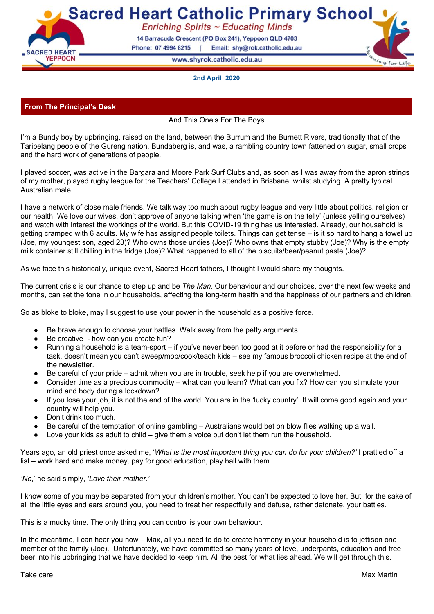# **From The APRE**

This week 'Life' has gotten in the way of 'Living' for most of us. We have been worried about the future, the virus pandemic that is upon us, our families and for the staff at Sacred Heart, we have been worried about our students and their online learning.

We have an amazing staff and whilst you already know this, I think that it is important that I remind you again. This past week has been eventful to say the least. Whilst the staff at Sacred Heart most likely think that life stopped them from fully living this week, I believe this is not true. This week at Sacred Heart, I witnessed a community that pulled, laughed together, ate together, shared knowledge, cried together (mainly from brain overload),and most importantly built stronger bonds with each other.

This community is fortunate to have a great leader. Today, I am so grateful for the patience, honesty, compassion, empathy, enthusiasm, honesty (especially regarding his technology skills), commitment, focus and most importantly, the confidence that Max Martin has in the staff here at our school. From the bottom of our hearts, thank you.

Let us ask our Heavenly Father to:

Help us to embrace the challenge and responsibility we have as leaders. To guide us to lead with integrity and common sense. Give us the wisdom to make intelligent decisions. Give us the courage to make tough decisions. Give us the character to make right decisions. We ask this in God's name. Amen.

Have a Happy Easter with your loved ones. The matter of the Melissa Collins

# **From The APC**

What a week to end out the term. The staff of Sacred Heart remain committed to ensuring quality teaching and learning activities will continue to be shared with students.

Should we not return to school at the start of next term, Google Classrooms will go into use, starting on Monday 20th April.

Each student has been assigned to a Google Classroom, where announcements and videos from their year level teachers can be viewed. All class learning tasks will be posted in the Google Classroom for students to work through. This platform allows teachers the opportunity to encourage students and make comments on their work and activities.

Activities from specialist teachers will also continue via this platform, for example Mr Martin will share an activity for children to complete as a PE lesson.

A copy of a guide 'Google Classrooms for Parents' is available from the following link: [Parent](https://drive.google.com/open?id=1QYaJ-YFqymq4IyKGpEJok__V_SaMgXWb) Guide Link

### **Zoom Meetings**

Classes will have two Zoom sessions each week with their class teacher. Students will need to access the link via their Google Classroom. Please see the timetable below for times for these sessions.

|             |               |         | -         |                 |        |
|-------------|---------------|---------|-----------|-----------------|--------|
| <b>Time</b> | <b>Monday</b> | Tuesday | Wednesday | <b>Thursday</b> | Friday |
| 9am         | Year 3        | Prep    | Year 3    |                 | Prep   |
| 9:30am      | Year 5        |         | Year 5    |                 |        |
| 10am        | Year 1        | Year 2  | Year 1    | Year 2          |        |
| 11am        |               | Year 4  |           |                 | Year 4 |

### **Zoom Meeting Schedule (Commencing Week 1 Term 2)**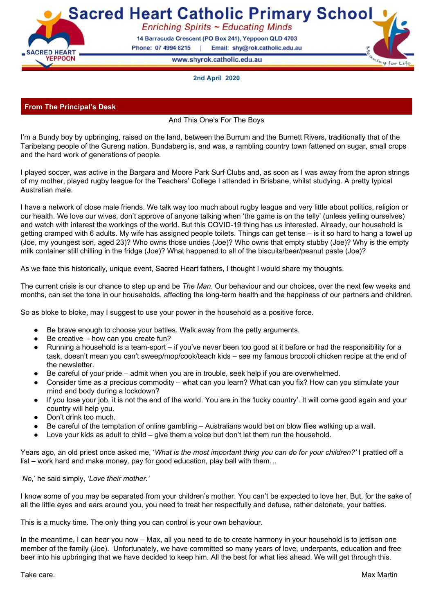| 12:30pm | Year 6 |  |  | Year ( |  |
|---------|--------|--|--|--------|--|
|---------|--------|--|--|--------|--|

#### **Reading App - Sora, by Overdrive**

For all Sacred Heart students, there is a free Online Reading App. E-books and audiobooks can be accessed through this app.

This is available to download on Android or Apple devices.

- Start by downloading the App from the App Store. See image below.
- When prompted to select 'your school', type in ACEN member school. This may need to be typed twice.
- You will be redirected to the CE-Net, where students add their personal log in details, make sure they select Rockhampton as the region.



This is my final week as Assistant to the Principal, Curriculum. Next term, Mrs Samantha Suthers will return to this position and I will be returning to the classroom, teaching Year 5. I wish to take this opportunity to thank the staff and families of Sacred Heart for your support over the past 12 months. I have truly enjoyed my time in this role, learning a great deal throughout the journey.

I wish you all a well-deserved break and look forward to seeing you on our return. Mrs Lisa List.

#### **Important Dates**

#### **April**

Friday 10th – Good Friday Sunday 12st – Easter Sunday Monday 13th – Easter Monday. Public holiday.

### **Easter Virtual Mass Times**

The Holy Week and Easter ceremonies will be as follows:

- Palm Sunday Mass Sunday 5 April at 9.30am
- Holy Week Masses Monday 6 April at Midday
- Tuesday 7 April at Midday
- Wednesday 8 April at Midday
- Holy Thursday (Mass of the Last Supper) Thursday 9 April at 6.00pm
- Good Friday (Stations of the Cross) Friday 10th April at 9.00am
- Good Friday (Passion of the Lord) Friday 10 April at 3.00pm
- Holy Saturday (Easter vigil) Saturday 11 April at 6.00pm
- Easter Sunday Mass Sunday 12 April at 9.30am

For access to online link: Bishop Michael [McCarthy](https://drive.google.com/a/rok.catholic.edu.au/file/d/1xAWukxzqcKX2ZgvxKdCeXs5FNJ5Gfebs/view?usp=sharing)